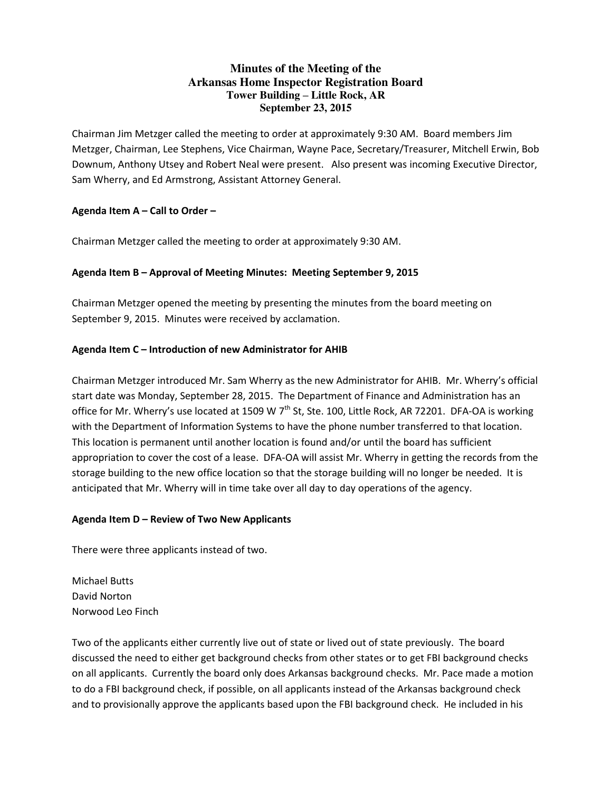## **Minutes of the Meeting of the Arkansas Home Inspector Registration Board Tower Building – Little Rock, AR September 23, 2015**

Chairman Jim Metzger called the meeting to order at approximately 9:30 AM. Board members Jim Metzger, Chairman, Lee Stephens, Vice Chairman, Wayne Pace, Secretary/Treasurer, Mitchell Erwin, Bob Downum, Anthony Utsey and Robert Neal were present. Also present was incoming Executive Director, Sam Wherry, and Ed Armstrong, Assistant Attorney General.

### **Agenda Item A – Call to Order –**

Chairman Metzger called the meeting to order at approximately 9:30 AM.

### **Agenda Item B – Approval of Meeting Minutes: Meeting September 9, 2015**

Chairman Metzger opened the meeting by presenting the minutes from the board meeting on September 9, 2015. Minutes were received by acclamation.

### **Agenda Item C – Introduction of new Administrator for AHIB**

Chairman Metzger introduced Mr. Sam Wherry as the new Administrator for AHIB. Mr. Wherry's official start date was Monday, September 28, 2015. The Department of Finance and Administration has an office for Mr. Wherry's use located at 1509 W  $7<sup>th</sup>$  St, Ste. 100, Little Rock, AR 72201. DFA-OA is working with the Department of Information Systems to have the phone number transferred to that location. This location is permanent until another location is found and/or until the board has sufficient appropriation to cover the cost of a lease. DFA-OA will assist Mr. Wherry in getting the records from the storage building to the new office location so that the storage building will no longer be needed. It is anticipated that Mr. Wherry will in time take over all day to day operations of the agency.

#### **Agenda Item D – Review of Two New Applicants**

There were three applicants instead of two.

Michael Butts David Norton Norwood Leo Finch

Two of the applicants either currently live out of state or lived out of state previously. The board discussed the need to either get background checks from other states or to get FBI background checks on all applicants. Currently the board only does Arkansas background checks. Mr. Pace made a motion to do a FBI background check, if possible, on all applicants instead of the Arkansas background check and to provisionally approve the applicants based upon the FBI background check. He included in his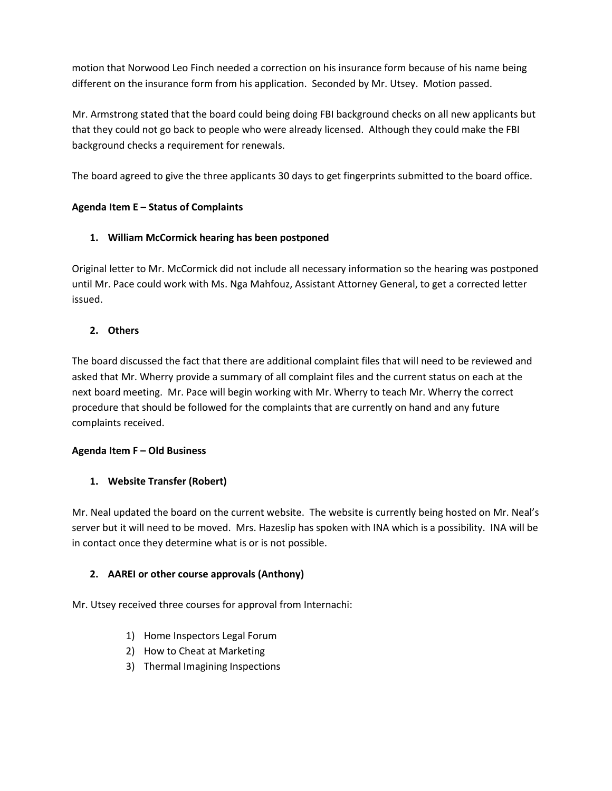motion that Norwood Leo Finch needed a correction on his insurance form because of his name being different on the insurance form from his application. Seconded by Mr. Utsey. Motion passed.

Mr. Armstrong stated that the board could being doing FBI background checks on all new applicants but that they could not go back to people who were already licensed. Although they could make the FBI background checks a requirement for renewals.

The board agreed to give the three applicants 30 days to get fingerprints submitted to the board office.

# **Agenda Item E – Status of Complaints**

## **1. William McCormick hearing has been postponed**

Original letter to Mr. McCormick did not include all necessary information so the hearing was postponed until Mr. Pace could work with Ms. Nga Mahfouz, Assistant Attorney General, to get a corrected letter issued.

### **2. Others**

The board discussed the fact that there are additional complaint files that will need to be reviewed and asked that Mr. Wherry provide a summary of all complaint files and the current status on each at the next board meeting. Mr. Pace will begin working with Mr. Wherry to teach Mr. Wherry the correct procedure that should be followed for the complaints that are currently on hand and any future complaints received.

## **Agenda Item F – Old Business**

## **1. Website Transfer (Robert)**

Mr. Neal updated the board on the current website. The website is currently being hosted on Mr. Neal's server but it will need to be moved. Mrs. Hazeslip has spoken with INA which is a possibility. INA will be in contact once they determine what is or is not possible.

## **2. AAREI or other course approvals (Anthony)**

Mr. Utsey received three courses for approval from Internachi:

- 1) Home Inspectors Legal Forum
- 2) How to Cheat at Marketing
- 3) Thermal Imagining Inspections